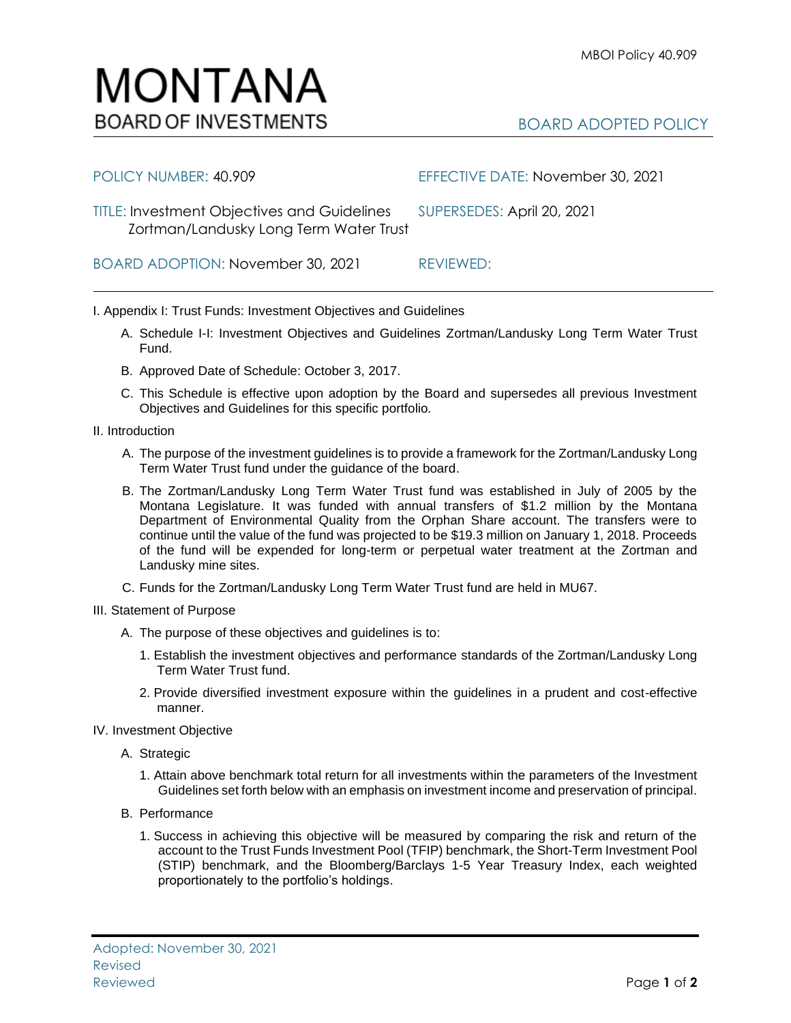BOARD ADOPTED POLICY

## Adopted: November 30, 2021 Reviewed Page **1** of **2**

## Zortman/Landusky Long Term Water Trust

BOARD ADOPTION: November 30, 2021 REVIEWED:

I. Appendix I: Trust Funds: Investment Objectives and Guidelines

- A. Schedule I-I: Investment Objectives and Guidelines Zortman/Landusky Long Term Water Trust Fund.
- B. Approved Date of Schedule: October 3, 2017.
- C. This Schedule is effective upon adoption by the Board and supersedes all previous Investment Objectives and Guidelines for this specific portfolio*.*
- II. Introduction
	- A. The purpose of the investment guidelines is to provide a framework for the Zortman/Landusky Long Term Water Trust fund under the guidance of the board.
	- B. The Zortman/Landusky Long Term Water Trust fund was established in July of 2005 by the Montana Legislature. It was funded with annual transfers of \$1.2 million by the Montana Department of Environmental Quality from the Orphan Share account. The transfers were to continue until the value of the fund was projected to be \$19.3 million on January 1, 2018. Proceeds of the fund will be expended for long-term or perpetual water treatment at the Zortman and Landusky mine sites.
	- C. Funds for the Zortman/Landusky Long Term Water Trust fund are held in MU67.
- III. Statement of Purpose
	- A. The purpose of these objectives and guidelines is to:
		- 1. Establish the investment objectives and performance standards of the Zortman/Landusky Long Term Water Trust fund.
		- 2. Provide diversified investment exposure within the guidelines in a prudent and cost-effective manner.
- IV. Investment Objective
	- A. Strategic

Revised

- 1. Attain above benchmark total return for all investments within the parameters of the Investment Guidelines set forth below with an emphasis on investment income and preservation of principal.
- B. Performance
	- 1. Success in achieving this objective will be measured by comparing the risk and return of the account to the Trust Funds Investment Pool (TFIP) benchmark, the Short-Term Investment Pool (STIP) benchmark, and the Bloomberg/Barclays 1-5 Year Treasury Index, each weighted proportionately to the portfolio's holdings.



POLICY NUMBER: 40.909 EFFECTIVE DATE: November 30, 2021

TITLE: Investment Objectives and Guidelines SUPERSEDES: April 20, 2021